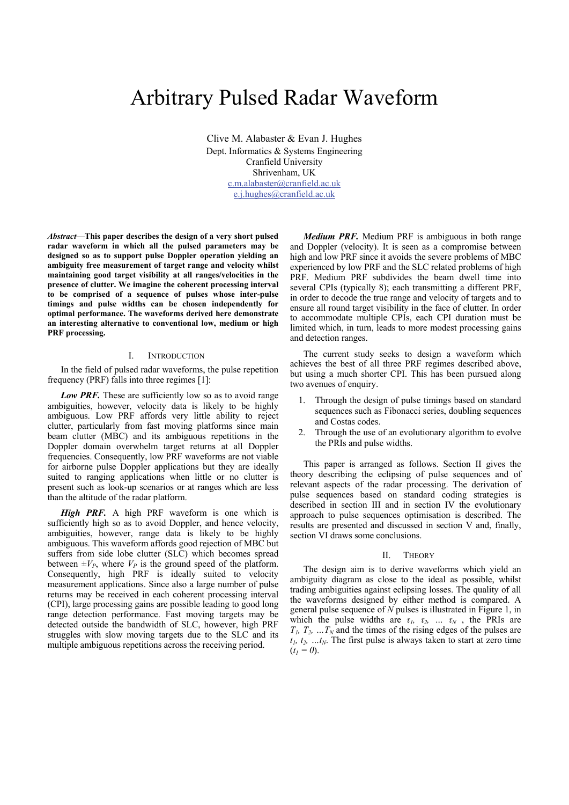# Arbitrary Pulsed Radar Waveform

Clive M. Alabaster & Evan J. Hughes Dept. Informatics & Systems Engineering Cranfield University Shrivenham, UK c.m.alabaster@cranfield.ac.uk e.j.hughes@cranfield.ac.uk

*Abstract***—This paper describes the design of a very short pulsed radar waveform in which all the pulsed parameters may be designed so as to support pulse Doppler operation yielding an ambiguity free measurement of target range and velocity whilst maintaining good target visibility at all ranges/velocities in the presence of clutter. We imagine the coherent processing interval to be comprised of a sequence of pulses whose inter-pulse timings and pulse widths can be chosen independently for optimal performance. The waveforms derived here demonstrate an interesting alternative to conventional low, medium or high PRF processing.** 

### I. INTRODUCTION

In the field of pulsed radar waveforms, the pulse repetition frequency (PRF) falls into three regimes [1]:

Low PRF. These are sufficiently low so as to avoid range ambiguities, however, velocity data is likely to be highly ambiguous. Low PRF affords very little ability to reject clutter, particularly from fast moving platforms since main beam clutter (MBC) and its ambiguous repetitions in the Doppler domain overwhelm target returns at all Doppler frequencies. Consequently, low PRF waveforms are not viable for airborne pulse Doppler applications but they are ideally suited to ranging applications when little or no clutter is present such as look-up scenarios or at ranges which are less than the altitude of the radar platform.

*High PRF.* A high PRF waveform is one which is sufficiently high so as to avoid Doppler, and hence velocity, ambiguities, however, range data is likely to be highly ambiguous. This waveform affords good rejection of MBC but suffers from side lobe clutter (SLC) which becomes spread between  $\pm V_p$ , where  $V_p$  is the ground speed of the platform. Consequently, high PRF is ideally suited to velocity measurement applications. Since also a large number of pulse returns may be received in each coherent processing interval (CPI), large processing gains are possible leading to good long range detection performance. Fast moving targets may be detected outside the bandwidth of SLC, however, high PRF struggles with slow moving targets due to the SLC and its multiple ambiguous repetitions across the receiving period.

*Medium PRF.* Medium PRF is ambiguous in both range and Doppler (velocity). It is seen as a compromise between high and low PRF since it avoids the severe problems of MBC experienced by low PRF and the SLC related problems of high PRF. Medium PRF subdivides the beam dwell time into several CPIs (typically 8); each transmitting a different PRF, in order to decode the true range and velocity of targets and to ensure all round target visibility in the face of clutter. In order to accommodate multiple CPIs, each CPI duration must be limited which, in turn, leads to more modest processing gains and detection ranges.

The current study seeks to design a waveform which achieves the best of all three PRF regimes described above, but using a much shorter CPI. This has been pursued along two avenues of enquiry.

- 1. Through the design of pulse timings based on standard sequences such as Fibonacci series, doubling sequences and Costas codes.
- 2. Through the use of an evolutionary algorithm to evolve the PRIs and pulse widths.

This paper is arranged as follows. Section II gives the theory describing the eclipsing of pulse sequences and of relevant aspects of the radar processing. The derivation of pulse sequences based on standard coding strategies is described in section III and in section IV the evolutionary approach to pulse sequences optimisation is described. The results are presented and discussed in section V and, finally, section VI draws some conclusions.

#### II. THEORY

The design aim is to derive waveforms which yield an ambiguity diagram as close to the ideal as possible, whilst trading ambiguities against eclipsing losses. The quality of all the waveforms designed by either method is compared. A general pulse sequence of *N* pulses is illustrated in Figure 1, in which the pulse widths are  $\tau_1$ ,  $\tau_2$ , ...  $\tau_N$ , the PRIs are  $T_1, T_2, \ldots, T_N$  and the times of the rising edges of the pulses are  $t_1, t_2, \ldots t_N$ . The first pulse is always taken to start at zero time  $(t_1 = 0)$ .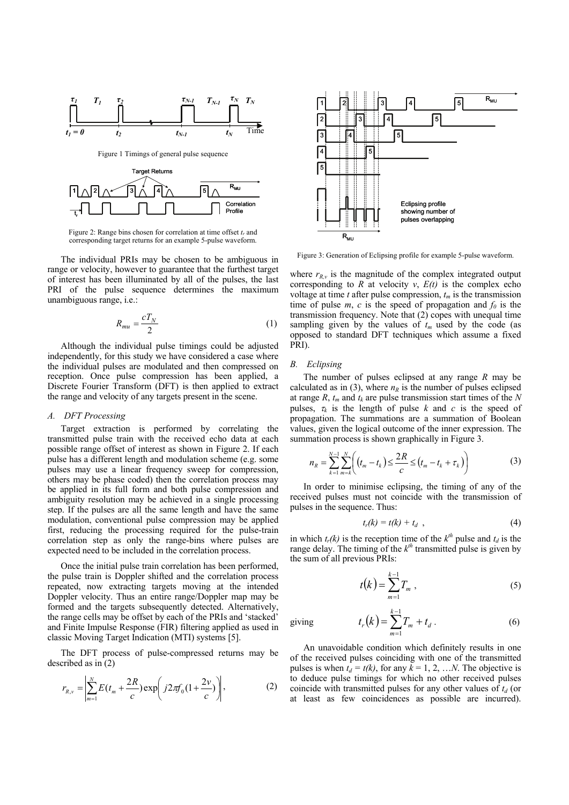

Figure 2: Range bins chosen for correlation at time offset  $t_r$  and corresponding target returns for an example 5-pulse waveform.

 $_{\overline{\mathbf{t}}}$ 'l  $\begin{bmatrix} \rule{0pt}{2ex} \rule{0pt}{2ex} \rule{0pt}{2ex} \rule{0pt}{2ex} \rule{0pt}{2ex} \rule{0pt}{2ex} \rule{0pt}{2ex} \rule{0pt}{2ex} \rule{0pt}{2ex} \rule{0pt}{2ex} \rule{0pt}{2ex} \rule{0pt}{2ex} \rule{0pt}{2ex} \rule{0pt}{2ex} \rule{0pt}{2ex} \rule{0pt}{2ex} \rule{0pt}{2ex} \rule{0pt}{2ex} \rule{0pt}{2ex} \rule{0pt}{2ex} \rule{0pt}{2ex} \rule{0pt}{2ex} \$ 

The individual PRIs may be chosen to be ambiguous in range or velocity, however to guarantee that the furthest target of interest has been illuminated by all of the pulses, the last PRI of the pulse sequence determines the maximum unambiguous range, i.e.:

$$
R_{mu} = \frac{cT_N}{2} \tag{1}
$$

Although the individual pulse timings could be adjusted independently, for this study we have considered a case where the individual pulses are modulated and then compressed on reception. Once pulse compression has been applied, a Discrete Fourier Transform (DFT) is then applied to extract the range and velocity of any targets present in the scene.

# *A. DFT Processing*

r

Target extraction is performed by correlating the transmitted pulse train with the received echo data at each possible range offset of interest as shown in Figure 2. If each pulse has a different length and modulation scheme (e.g. some pulses may use a linear frequency sweep for compression, others may be phase coded) then the correlation process may be applied in its full form and both pulse compression and ambiguity resolution may be achieved in a single processing step. If the pulses are all the same length and have the same modulation, conventional pulse compression may be applied first, reducing the processing required for the pulse-train correlation step as only the range-bins where pulses are expected need to be included in the correlation process.

Once the initial pulse train correlation has been performed, the pulse train is Doppler shifted and the correlation process repeated, now extracting targets moving at the intended Doppler velocity. Thus an entire range/Doppler map may be formed and the targets subsequently detected. Alternatively, the range cells may be offset by each of the PRIs and 'stacked' and Finite Impulse Response (FIR) filtering applied as used in classic Moving Target Indication (MTI) systems [5].

The DFT process of pulse-compressed returns may be described as in (2)

$$
r_{R,\nu} = \left| \sum_{m=1}^{N} E(t_m + \frac{2R}{c}) \exp\left( j2\pi f_0 \left( 1 + \frac{2\nu}{c} \right) \right) \right|,
$$
 (2)



Figure 3: Generation of Eclipsing profile for example 5-pulse waveform.

where  $r_{R,\nu}$  is the magnitude of the complex integrated output corresponding to  $R$  at velocity  $v$ ,  $E(t)$  is the complex echo voltage at time *t* after pulse compression,  $t_m$  is the transmission time of pulse  $m$ ,  $c$  is the speed of propagation and  $f_0$  is the transmission frequency. Note that (2) copes with unequal time sampling given by the values of  $t_m$  used by the code (as opposed to standard DFT techniques which assume a fixed PRI).

#### *B. Eclipsing*

The number of pulses eclipsed at any range *R* may be calculated as in (3), where  $n_R$  is the number of pulses eclipsed at range  $R$ ,  $t_m$  and  $t_k$  are pulse transmission start times of the  $N$ pulses,  $\tau_k$  is the length of pulse *k* and *c* is the speed of propagation. The summations are a summation of Boolean values, given the logical outcome of the inner expression. The summation process is shown graphically in Figure 3.

$$
n_R = \sum_{k=1}^{N-1} \sum_{m=k}^{N} \left( (t_m - t_k) \le \frac{2R}{c} \le (t_m - t_k + \tau_k) \right)
$$
(3)

In order to minimise eclipsing, the timing of any of the received pulses must not coincide with the transmission of pulses in the sequence. Thus:

$$
t_r(k) = t(k) + t_d \quad , \tag{4}
$$

in which  $t_r(k)$  is the reception time of the  $k^{th}$  pulse and  $t_d$  is the range delay. The timing of the  $k<sup>th</sup>$  transmitted pulse is given by the sum of all previous PRIs:

$$
t(k) = \sum_{m=1}^{k-1} T_m , \qquad (5)
$$

giving 
$$
t_r(k) = \sum_{m=1}^{k-1} T_m + t_d
$$
. (6)

An unavoidable condition which definitely results in one of the received pulses coinciding with one of the transmitted pulses is when  $t_d = t(k)$ , for any  $k = 1, 2, ...N$ . The objective is to deduce pulse timings for which no other received pulses coincide with transmitted pulses for any other values of  $t_d$  (or at least as few coincidences as possible are incurred).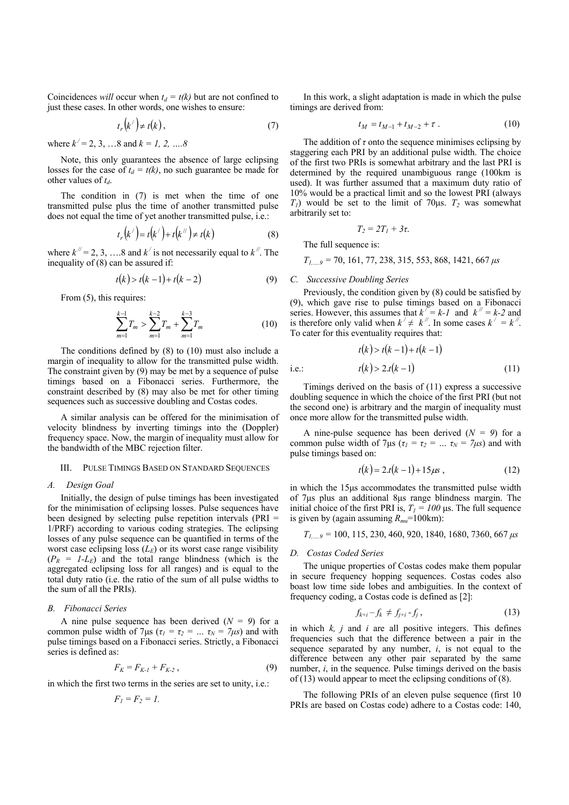Coincidences *will* occur when  $t_d = t(k)$  but are not confined to just these cases. In other words, one wishes to ensure:

$$
t_r(k') \neq t(k),\tag{7}
$$

where  $k' = 2, 3, \dots 8$  and  $k = 1, 2, \dots 8$ 

Note, this only guarantees the absence of large eclipsing losses for the case of  $t_d = t(k)$ , no such guarantee be made for other values of  $t_d$ .

The condition in (7) is met when the time of one transmitted pulse plus the time of another transmitted pulse does not equal the time of yet another transmitted pulse, i.e.:

$$
t_r(k') = t(k') + t(k'') \neq t(k)
$$
 (8)

where  $k^{\textit{th}} = 2, 3, \ldots, 8$  and  $k^{\textit{th}}$  is not necessarily equal to  $k^{\textit{th}}$ . The inequality of (8) can be assured if:

$$
t(k) > t(k-1) + t(k-2)
$$
 (9)

From  $(5)$ , this requires:

$$
\sum_{m=1}^{k-1} T_m > \sum_{m=1}^{k-2} T_m + \sum_{m=1}^{k-3} T_m \tag{10}
$$

The conditions defined by (8) to (10) must also include a margin of inequality to allow for the transmitted pulse width. The constraint given by (9) may be met by a sequence of pulse timings based on a Fibonacci series. Furthermore, the constraint described by (8) may also be met for other timing sequences such as successive doubling and Costas codes.

A similar analysis can be offered for the minimisation of velocity blindness by inverting timings into the (Doppler) frequency space. Now, the margin of inequality must allow for the bandwidth of the MBC rejection filter.

## III. PULSE TIMINGS BASED ON STANDARD SEQUENCES

# *A. Design Goal*

Initially, the design of pulse timings has been investigated for the minimisation of eclipsing losses. Pulse sequences have been designed by selecting pulse repetition intervals (PRI = 1/PRF) according to various coding strategies. The eclipsing losses of any pulse sequence can be quantified in terms of the worst case eclipsing loss  $(L_E)$  or its worst case range visibility  $(P_R = I - L_E)$  and the total range blindness (which is the aggregated eclipsing loss for all ranges) and is equal to the total duty ratio (i.e. the ratio of the sum of all pulse widths to the sum of all the PRIs).

#### *B. Fibonacci Series*

A nine pulse sequence has been derived  $(N = 9)$  for a common pulse width of  $7\mu s$  ( $\tau_1 = \tau_2 = ... \tau_N = 7\mu s$ ) and with pulse timings based on a Fibonacci series. Strictly, a Fibonacci series is defined as:

$$
F_K = F_{K-1} + F_{K-2} \,, \tag{9}
$$

in which the first two terms in the series are set to unity, i.e.:

$$
F_1 = F_2 = I.
$$

In this work, a slight adaptation is made in which the pulse timings are derived from:

$$
t_M = t_{M-1} + t_{M-2} + \tau \ . \tag{10}
$$

The addition of  $\tau$  onto the sequence minimises eclipsing by staggering each PRI by an additional pulse width. The choice of the first two PRIs is somewhat arbitrary and the last PRI is determined by the required unambiguous range (100km is used). It was further assumed that a maximum duty ratio of 10% would be a practical limit and so the lowest PRI (always  $T_1$ ) would be set to the limit of 70μs.  $T_2$  was somewhat arbitrarily set to:

$$
T_2=2T_1+3\tau.
$$

The full sequence is:

*T1,….9 =* 70, 161, 77, 238, 315, 553, 868, 1421, 667 *μs*

## *C. Successive Doubling Series*

Previously, the condition given by (8) could be satisfied by (9), which gave rise to pulse timings based on a Fibonacci series. However, this assumes that  $k^{\prime} = k-1$  and  $k^{\prime\prime} = k-2$  and is therefore only valid when  $k' \neq k''$ . In some cases  $k' = k''$ . To cater for this eventuality requires that:

$$
t(k) > t(k-1) + t(k-1)
$$
  
i.e.: 
$$
t(k) > 2 \cdot t(k-1)
$$
 (11)

Timings derived on the basis of (11) express a successive doubling sequence in which the choice of the first PRI (but not the second one) is arbitrary and the margin of inequality must once more allow for the transmitted pulse width.

A nine-pulse sequence has been derived  $(N = 9)$  for a common pulse width of  $7\mu s$  ( $\tau_1 = \tau_2 = ... \tau_N = 7\mu s$ ) and with pulse timings based on:

$$
t(k) = 2 \cdot t(k-1) + 15 \mu s \tag{12}
$$

in which the 15μs accommodates the transmitted pulse width of 7μs plus an additional 8μs range blindness margin. The initial choice of the first PRI is,  $T_1 = 100$  μs. The full sequence is given by (again assuming  $R_{\text{mu}}$ =100km):

$$
T_{1,\dots,9} = 100, 115, 230, 460, 920, 1840, 1680, 7360, 667 \,\mu s
$$

## *D. Costas Coded Series*

The unique properties of Costas codes make them popular in secure frequency hopping sequences. Costas codes also boast low time side lobes and ambiguities. In the context of frequency coding, a Costas code is defined as [2]:

$$
f_{k+i} - f_k \neq f_{j+i} - f_j, \qquad (13)
$$

in which *k, j* and *i* are all positive integers. This defines frequencies such that the difference between a pair in the sequence separated by any number, *i*, is not equal to the difference between any other pair separated by the same number, *i*, in the sequence. Pulse timings derived on the basis of (13) would appear to meet the eclipsing conditions of (8).

The following PRIs of an eleven pulse sequence (first 10 PRIs are based on Costas code) adhere to a Costas code: 140,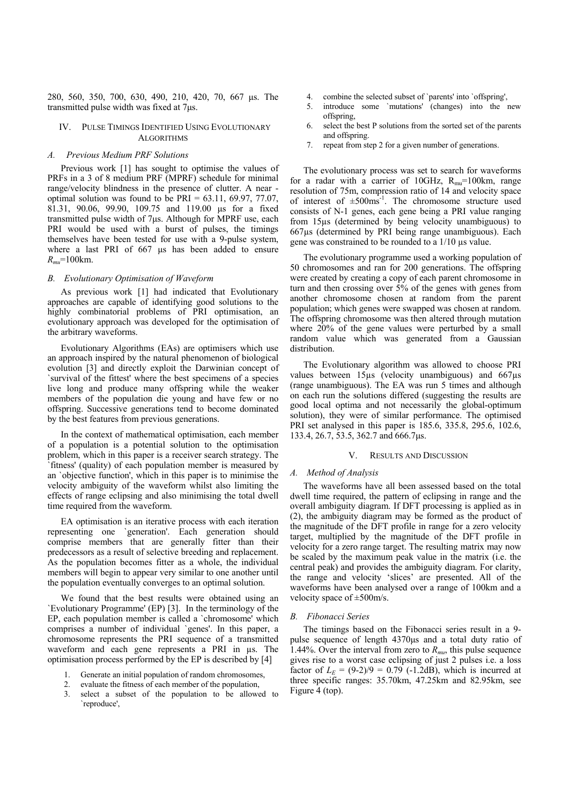280, 560, 350, 700, 630, 490, 210, 420, 70, 667 μs. The transmitted pulse width was fixed at 7μs.

# IV. PULSE TIMINGS IDENTIFIED USING EVOLUTIONARY ALGORITHMS

# *A. Previous Medium PRF Solutions*

Previous work [1] has sought to optimise the values of PRFs in a 3 of 8 medium PRF (MPRF) schedule for minimal range/velocity blindness in the presence of clutter. A near optimal solution was found to be  $PRI = 63.11, 69.97, 77.07$ . 81.31, 90.06, 99.90, 109.75 and 119.00 μs for a fixed transmitted pulse width of 7μs. Although for MPRF use, each PRI would be used with a burst of pulses, the timings themselves have been tested for use with a 9-pulse system, where a last PRI of 667 μs has been added to ensure *Rmu*=100km.

# *B. Evolutionary Optimisation of Waveform*

As previous work [1] had indicated that Evolutionary approaches are capable of identifying good solutions to the highly combinatorial problems of PRI optimisation, an evolutionary approach was developed for the optimisation of the arbitrary waveforms.

Evolutionary Algorithms (EAs) are optimisers which use an approach inspired by the natural phenomenon of biological evolution [3] and directly exploit the Darwinian concept of `survival of the fittest' where the best specimens of a species live long and produce many offspring while the weaker members of the population die young and have few or no offspring. Successive generations tend to become dominated by the best features from previous generations.

In the context of mathematical optimisation, each member of a population is a potential solution to the optimisation problem, which in this paper is a receiver search strategy. The `fitness' (quality) of each population member is measured by an `objective function', which in this paper is to minimise the velocity ambiguity of the waveform whilst also limiting the effects of range eclipsing and also minimising the total dwell time required from the waveform.

EA optimisation is an iterative process with each iteration representing one `generation'. Each generation should comprise members that are generally fitter than their predecessors as a result of selective breeding and replacement. As the population becomes fitter as a whole, the individual members will begin to appear very similar to one another until the population eventually converges to an optimal solution.

We found that the best results were obtained using an `Evolutionary Programme' (EP) [3]. In the terminology of the EP, each population member is called a `chromosome' which comprises a number of individual `genes'. In this paper, a chromosome represents the PRI sequence of a transmitted waveform and each gene represents a PRI in  $\mu$ s. The optimisation process performed by the EP is described by [4]

- 1. Generate an initial population of random chromosomes,
- 2. evaluate the fitness of each member of the population,
- 3. select a subset of the population to be allowed to `reproduce',
- 4. combine the selected subset of `parents' into `offspring',
- 5. introduce some `mutations' (changes) into the new offspring,
- 6. select the best P solutions from the sorted set of the parents and offspring.
- 7. repeat from step 2 for a given number of generations.

The evolutionary process was set to search for waveforms for a radar with a carrier of 10GHz,  $R_{mu}$ =100km, range resolution of 75m, compression ratio of 14 and velocity space of interest of  $\pm 500$ ms<sup>-1</sup>. The chromosome structure used consists of N-1 genes, each gene being a PRI value ranging from 15µs (determined by being velocity unambiguous) to 667µs (determined by PRI being range unambiguous). Each gene was constrained to be rounded to a 1/10 µs value.

The evolutionary programme used a working population of 50 chromosomes and ran for 200 generations. The offspring were created by creating a copy of each parent chromosome in turn and then crossing over  $5\%$  of the genes with genes from another chromosome chosen at random from the parent population; which genes were swapped was chosen at random. The offspring chromosome was then altered through mutation where 20% of the gene values were perturbed by a small random value which was generated from a Gaussian distribution.

The Evolutionary algorithm was allowed to choose PRI values between 15µs (velocity unambiguous) and 667µs (range unambiguous). The EA was run 5 times and although on each run the solutions differed (suggesting the results are good local optima and not necessarily the global-optimum solution), they were of similar performance. The optimised PRI set analysed in this paper is 185.6, 335.8, 295.6, 102.6, 133.4, 26.7, 53.5, 362.7 and 666.7μs.

# V. RESULTS AND DISCUSSION

#### *A. Method of Analysis*

The waveforms have all been assessed based on the total dwell time required, the pattern of eclipsing in range and the overall ambiguity diagram. If DFT processing is applied as in (2), the ambiguity diagram may be formed as the product of the magnitude of the DFT profile in range for a zero velocity target, multiplied by the magnitude of the DFT profile in velocity for a zero range target. The resulting matrix may now be scaled by the maximum peak value in the matrix (i.e. the central peak) and provides the ambiguity diagram. For clarity, the range and velocity 'slices' are presented. All of the waveforms have been analysed over a range of 100km and a velocity space of ±500m/s.

#### *B. Fibonacci Series*

The timings based on the Fibonacci series result in a 9 pulse sequence of length 4370μs and a total duty ratio of 1.44%. Over the interval from zero to  $R_{mu}$ , this pulse sequence gives rise to a worst case eclipsing of just 2 pulses i.e. a loss factor of  $L_E = (9-2)/9 = 0.79$  (-1.2dB), which is incurred at three specific ranges: 35.70km, 47.25km and 82.95km, see Figure 4 (top).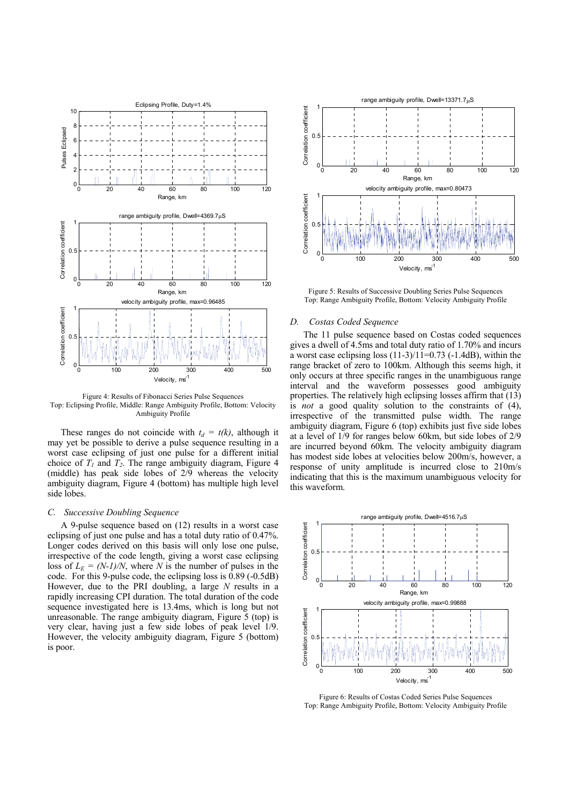

Figure 4: Results of Fibonacci Series Pulse Sequences Top: Eclipsing Profile, Middle: Range Ambiguity Profile, Bottom: Velocity Ambiguity Profile

These ranges do not coincide with  $t_d = t(k)$ , although it may yet be possible to derive a pulse sequence resulting in a worst case eclipsing of just one pulse for a different initial choice of  $T_1$  and  $T_2$ . The range ambiguity diagram, Figure 4 (middle) has peak side lobes of 2/9 whereas the velocity ambiguity diagram, Figure 4 (bottom) has multiple high level side lobes.

# *C. Successive Doubling Sequence*

A 9-pulse sequence based on (12) results in a worst case eclipsing of just one pulse and has a total duty ratio of 0.47%. Longer codes derived on this basis will only lose one pulse, irrespective of the code length, giving a worst case eclipsing loss of  $L<sub>E</sub> = (N-1)/N$ , where *N* is the number of pulses in the code. For this 9-pulse code, the eclipsing loss is 0.89 (-0.5dB) However, due to the PRI doubling, a large *N* results in a rapidly increasing CPI duration. The total duration of the code sequence investigated here is 13.4ms, which is long but not unreasonable. The range ambiguity diagram, Figure 5 (top) is very clear, having just a few side lobes of peak level 1/9. However, the velocity ambiguity diagram, Figure 5 (bottom) is poor.



Figure 5: Results of Successive Doubling Series Pulse Sequences Top: Range Ambiguity Profile, Bottom: Velocity Ambiguity Profile

## *D. Costas Coded Sequence*

The 11 pulse sequence based on Costas coded sequences gives a dwell of 4.5ms and total duty ratio of 1.70% and incurs a worst case eclipsing loss  $(11-3)/1\overline{1}=0.73$  (-1.4dB), within the range bracket of zero to 100km. Although this seems high, it only occurs at three specific ranges in the unambiguous range interval and the waveform possesses good ambiguity properties. The relatively high eclipsing losses affirm that  $(13)$ is *not* a good quality solution to the constraints of (4), irrespective of the transmitted pulse width. The range ambiguity diagram, Figure 6 (top) exhibits just five side lobes at a level of 1/9 for ranges below 60km, but side lobes of 2/9 are incurred beyond 60km. The velocity ambiguity diagram has modest side lobes at velocities below 200m/s, however, a response of unity amplitude is incurred close to 210m/s indicating that this is the maximum unambiguous velocity for this waveform.



Figure 6: Results of Costas Coded Series Pulse Sequences Top: Range Ambiguity Profile, Bottom: Velocity Ambiguity Profile